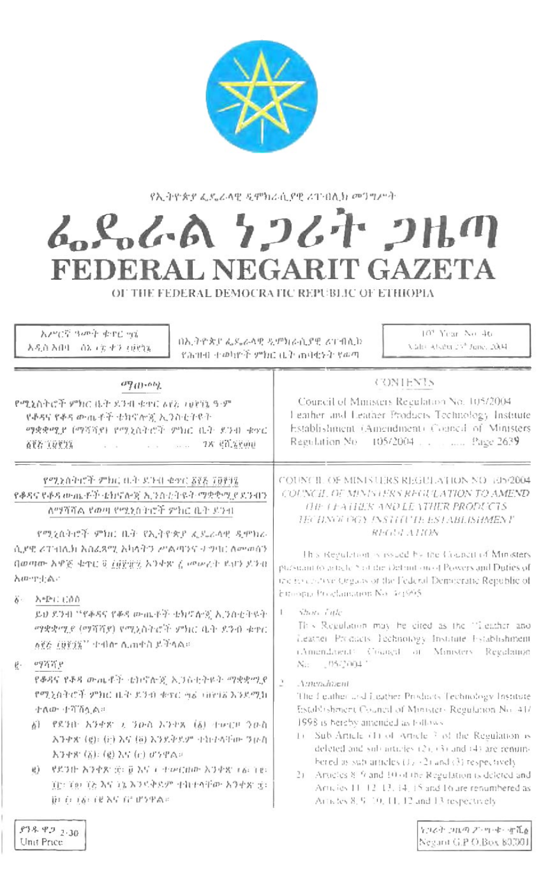

የኢትዮጵያ ፌዴራላዊ ዲሞክራሲያዊ ሪፐብሊክ መጋግሥት

## んとんでん ケンムキ つはの FEDERAL NEGARIT GAZETA

OF THE FEDERAL DEMOCRATIC REPUBLIC OF ETHIOPIA

| አሥርኛ ዓመት ቁጥር ਅኔ<br>በኢትዮጵያ ፌዴራላዊ ዲምክራሲያዊ ሪፐብሲኮ<br>እዲስ አበባ - ሰኔ ፣ ፳ ቀን ፣ፀ୧ንኔ<br><u>የሕዝብ ተወካዮች ምክር ቤት ጠባቂኑት የ</u> ወጣ                                                                                                                                                                                                                                                                                                                                                                                                              | 10 <sup>4</sup> Year No. 46.<br>Value Ababa 23th June, 2004.                                                                                                                                                                                                                                                                                                                                                                                                                                                                                                                                                                                                                                                                              |
|--------------------------------------------------------------------------------------------------------------------------------------------------------------------------------------------------------------------------------------------------------------------------------------------------------------------------------------------------------------------------------------------------------------------------------------------------------------------------------------------------------------------------------|-------------------------------------------------------------------------------------------------------------------------------------------------------------------------------------------------------------------------------------------------------------------------------------------------------------------------------------------------------------------------------------------------------------------------------------------------------------------------------------------------------------------------------------------------------------------------------------------------------------------------------------------------------------------------------------------------------------------------------------------|
| $\sigma_{J(1)}, \sigma_{J_2}$<br>የሚኒስትሮች ምክር ቤት ደንብ ቁተር ለየአ መነግኔ ዓ.ም<br>የቆዳና የቆዳ ውጤቶች ቴክኖሎጂ ኢንስቲትዩት<br>ማቋቋሚያ (ማሻሻያ) የሚኒስትሮች ምክር ቤት ደንብ ቁኖር<br>查里者 ( QV ) 第 2000 - 2000 - 2000 - 2000 - 2000 - 2000 - 2000 - 2000 - 2000 - 2000 - 2000 - 2000 - 2000 - 2000 -                                                                                                                                                                                                                                                                   | <b>CONTENTS</b><br>Council of Ministers Regulation No. 105/2004<br>Leather and Leather Products Technology Institute<br>Establishment (Amendment) Council of Ministers<br>Regulation No. 105/2004 Page 2639                                                                                                                                                                                                                                                                                                                                                                                                                                                                                                                               |
| የሚነስትሮች ምክር ቤት ደጉብ ቁቃር ፩፻፩ ፲፱፻፶)<br>የቆዳና የቆዳ ውጤቶች ቴክኖሎጂ ኢንስቲትዩት ማቋቋሚያ ደንብን<br>ለማሻሻል የወጣ የሚነስትሮች ምክር ቤት ደንብ<br>የሚኒስትሮች ምክር ቤት የኢትዮጵያ ፌዴራላዊ ዲሞክራ<br>ሲያዊ ሪፐብሊክ አስፈጻሚ አካፋትን ሥልጣንና ተግባር ስመወሰን<br>በወጣው አዋጅ ቁጥር 6 ስምታዊ አንቀጽ ረ መውረት ደህን ይንቁ<br>American                                                                                                                                                                                                                                                                                | COUNCIL OF MINISTERS REGULATION NO 105/2004<br>COUNCIL DE MUNISTERS REGULATION TO AMEND<br>THE LEATHER AND LEATHER PRODUCTS.<br>TECHNOLOGY INSTITUTE ESTABLISHMENT<br>REGULATION<br>This Regulation is issued by the Council of Ministers<br>pursuant to activity 5 of the Defanitom of Powers and Dufies of<br>the Encodive Organs of the Federal Democratic Republic of<br>Emoral Proclamation No. 44995                                                                                                                                                                                                                                                                                                                                |
| δ- - λ=Ρι∶ι;∂∩<br>ይህ ደንብ ''የቆዳና የቆዳ ውጤቶች ቴክኖሎጂ ኢንስቂትዩት'<br>ማቋቋሚያ (ማሻሻያ) የሚኒስትሮች ምክር ቤት ደንብ ቁዋር<br>ለጀጅ (ሀጀንዥ'' ተብስተ ሲጠቀስ ይችላል።<br>$\mathbf{e}$ .<br>$vq\pi\pi$ <sub>P</sub><br>የቆዳና የቆዳ ውጤቶች ቴክኖሎጂ ኢጋስቲትዶት ማቋቋሚያ<br>የሚኒስትሮች ምክር ቤት ደንፅ ቁተር ၅ፊ መነባሪ እንደሚከ<br>ተለው ተሻሽሏል።<br>የደንበ እንቀጽ አ ንውስ እንቀጽ (δ) ተውርቦ ንውስ<br>b)<br>እንቃጽ (g): (ir) እና (ö) እንደቅደም ተከተላቸው ንውስ<br>አንቀጽ (አ): (g) እና (c) ወንዋል።<br>ぜぶつけ 入うやえ (空) 豆 という イーセンビルか 入りずる することも<br><b>另</b><br>፲፱፣ ፲፱፣ ፲ፘ እና ፲ኔ እንዳቅደም ተከተላቸው አንቀጽ ፰፣<br>በተከተለ የተመለከተው በአንድል።<br>81892 230 | Shots Title<br>This Regulation may be cired as the "Leather and<br>Leather Products Technology Institute Establishment<br>(Amendatent) Counçal of Monisters Regulation<br>No. (15/2004)<br>$A$ ateradazent<br>The figuring and Leather Products Technology Institute<br>Establishment Council of Minister- Regulation No. 41/<br>1998 is bereby amended as follows<br>Sub-Article (1) of Article 3 of the Regulation is<br>$\perp$<br>deleted and sub-articles (2), (3) and (4) are remini-<br>bered as sub-articles (1) +2) and (3) respectively<br>2) Articles 8-9 and 10 of the Regulation is deleted and<br>Articles 11-12-13, 14, 15 and 16 are renumbered as<br>Articles 8, 9-10, 11, 12 and 13 respectively<br>ヤコスト コルカ ア・ワーキー すんぁ |

Negarit G.P O.Box 80,001

Unit Price